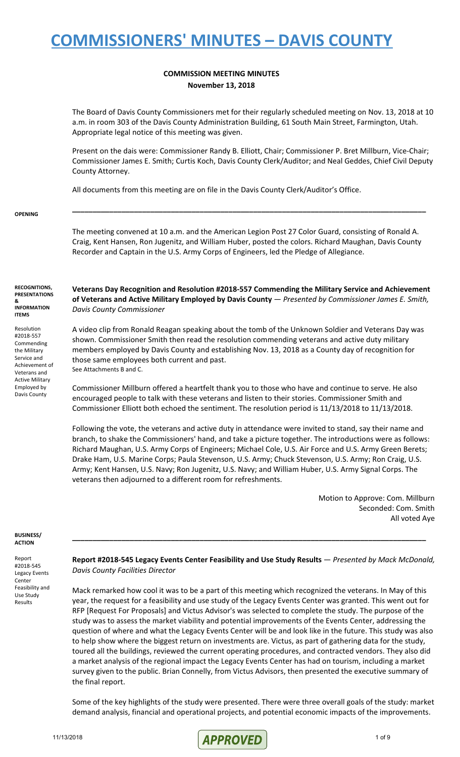#### **COMMISSION MEETING MINUTES November 13, 2018**

The Board of Davis County Commissioners met for their regularly scheduled meeting on Nov. 13, 2018 at 10 a.m. in room 303 of the Davis County Administration Building, 61 South Main Street, Farmington, Utah. Appropriate legal notice of this meeting was given.

Present on the dais were: Commissioner Randy B. Elliott, Chair; Commissioner P. Bret Millburn, Vice-Chair; Commissioner James E. Smith; Curtis Koch, Davis County Clerk/Auditor; and Neal Geddes, Chief Civil Deputy County Attorney.

All documents from this meeting are on file in the Davis County Clerk/Auditor's Office.

#### **OPENING**

The meeting convened at 10 a.m. and the American Legion Post 27 Color Guard, consisting of Ronald A. Craig, Kent Hansen, Ron Jugenitz, and William Huber, posted the colors. Richard Maughan, Davis County Recorder and Captain in the U.S. Army Corps of Engineers, led the Pledge of Allegiance.

**\_\_\_\_\_\_\_\_\_\_\_\_\_\_\_\_\_\_\_\_\_\_\_\_\_\_\_\_\_\_\_\_\_\_\_\_\_\_\_\_\_\_\_\_\_\_\_\_\_\_\_\_\_\_\_\_\_\_\_\_\_\_\_\_\_\_\_\_\_\_\_\_\_\_\_\_\_\_\_\_\_\_\_\_\_\_**

**RECOGNITIONS, PRESENTATIONS &**

**INFORMATION ITEMS**

Resolution

#2018-557 Commending the Military Service and Achievement of Veterans and Active Military Employed by Davis County

**Veterans Day Recognition and Resolution #2018-557 Commending the Military Service and Achievement of Veterans and Active Military Employed by Davis County** — *Presented by Commissioner James E. Smith, Davis County Commissioner*

A video clip from Ronald Reagan speaking about the tomb of the Unknown Soldier and Veterans Day was shown. Commissioner Smith then read the resolution commending veterans and active duty military members employed by Davis County and establishing Nov. 13, 2018 as a County day of recognition for those same employees both current and past. See Attachments B and C.

Commissioner Millburn offered a heartfelt thank you to those who have and continue to serve. He also encouraged people to talk with these veterans and listen to their stories. Commissioner Smith and Commissioner Elliott both echoed the sentiment. The resolution period is 11/13/2018 to 11/13/2018.

Following the vote, the veterans and active duty in attendance were invited to stand, say their name and branch, to shake the Commissioners' hand, and take a picture together. The introductions were as follows: Richard Maughan, U.S. Army Corps of Engineers; Michael Cole, U.S. Air Force and U.S. Army Green Berets; Drake Ham, U.S. Marine Corps; Paula Stevenson, U.S. Army; Chuck Stevenson, U.S. Army; Ron Craig, U.S. Army; Kent Hansen, U.S. Navy; Ron Jugenitz, U.S. Navy; and William Huber, U.S. Army Signal Corps. The veterans then adjourned to a different room for refreshments.

> Motion to Approve: Com. Millburn Seconded: Com. Smith All voted Aye

#### **BUSINESS/ ACTION**

Report #2018-545 Legacy Events **Center** Feasibility and Use Study Results

**Report #2018-545 Legacy Events Center Feasibility and Use Study Results** — *Presented by Mack McDonald, Davis County Facilities Director*

**\_\_\_\_\_\_\_\_\_\_\_\_\_\_\_\_\_\_\_\_\_\_\_\_\_\_\_\_\_\_\_\_\_\_\_\_\_\_\_\_\_\_\_\_\_\_\_\_\_\_\_\_\_\_\_\_\_\_\_\_\_\_\_\_\_\_\_\_\_\_\_\_\_\_\_\_\_\_\_\_\_\_\_\_\_\_**

Mack remarked how cool it was to be a part of this meeting which recognized the veterans. In May of this year, the request for a feasibility and use study of the Legacy Events Center was granted. This went out for RFP [Request For Proposals] and Victus Advisor's was selected to complete the study. The purpose of the study was to assess the market viability and potential improvements of the Events Center, addressing the question of where and what the Legacy Events Center will be and look like in the future. This study was also to help show where the biggest return on investments are. Victus, as part of gathering data for the study, toured all the buildings, reviewed the current operating procedures, and contracted vendors. They also did a market analysis of the regional impact the Legacy Events Center has had on tourism, including a market survey given to the public. Brian Connelly, from Victus Advisors, then presented the executive summary of the final report.

Some of the key highlights of the study were presented. There were three overall goals of the study: market demand analysis, financial and operational projects, and potential economic impacts of the improvements.

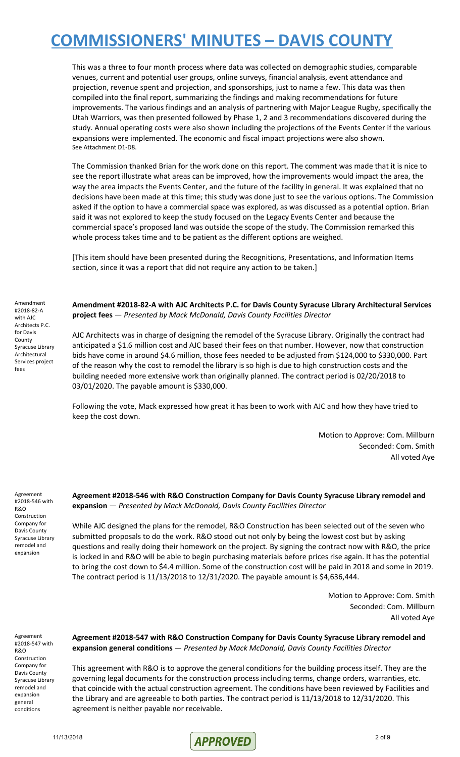This was a three to four month process where data was collected on demographic studies, comparable venues, current and potential user groups, online surveys, financial analysis, event attendance and projection, revenue spent and projection, and sponsorships, just to name a few. This data was then compiled into the final report, summarizing the findings and making recommendations for future improvements. The various findings and an analysis of partnering with Major League Rugby, specifically the Utah Warriors, was then presented followed by Phase 1, 2 and 3 recommendations discovered during the study. Annual operating costs were also shown including the projections of the Events Center if the various expansions were implemented. The economic and fiscal impact projections were also shown. See Attachment D1-D8.

The Commission thanked Brian for the work done on this report. The comment was made that it is nice to see the report illustrate what areas can be improved, how the improvements would impact the area, the way the area impacts the Events Center, and the future of the facility in general. It was explained that no decisions have been made at this time; this study was done just to see the various options. The Commission asked if the option to have a commercial space was explored, as was discussed as a potential option. Brian said it was not explored to keep the study focused on the Legacy Events Center and because the commercial space's proposed land was outside the scope of the study. The Commission remarked this whole process takes time and to be patient as the different options are weighed.

[This item should have been presented during the Recognitions, Presentations, and Information Items section, since it was a report that did not require any action to be taken.]

Amendment #2018-82-A with AJC Architects P.C. for Davis County Syracuse Library Architectural Services project fees

**Amendment #2018-82-A with AJC Architects P.C. for Davis County Syracuse Library Architectural Services project fees** — *Presented by Mack McDonald, Davis County Facilities Director*

AJC Architects was in charge of designing the remodel of the Syracuse Library. Originally the contract had anticipated a \$1.6 million cost and AJC based their fees on that number. However, now that construction bids have come in around \$4.6 million, those fees needed to be adjusted from \$124,000 to \$330,000. Part of the reason why the cost to remodel the library is so high is due to high construction costs and the building needed more extensive work than originally planned. The contract period is 02/20/2018 to 03/01/2020. The payable amount is \$330,000.

Following the vote, Mack expressed how great it has been to work with AJC and how they have tried to keep the cost down.

> Motion to Approve: Com. Millburn Seconded: Com. Smith All voted Aye

Agreement #2018-546 with R&O Construction Company for Davis County Syracuse Library remodel and expansion

**Agreement #2018-546 with R&O Construction Company for Davis County Syracuse Library remodel and expansion** — *Presented by Mack McDonald, Davis County Facilities Director*

While AJC designed the plans for the remodel, R&O Construction has been selected out of the seven who submitted proposals to do the work. R&O stood out not only by being the lowest cost but by asking questions and really doing their homework on the project. By signing the contract now with R&O, the price is locked in and R&O will be able to begin purchasing materials before prices rise again. It has the potential to bring the cost down to \$4.4 million. Some of the construction cost will be paid in 2018 and some in 2019. The contract period is 11/13/2018 to 12/31/2020. The payable amount is \$4,636,444.

> Motion to Approve: Com. Smith Seconded: Com. Millburn All voted Aye

Agreement #2018-547 with R&O Construction Company for Davis County Syracuse Library remodel and expansion general conditions

**Agreement #2018-547 with R&O Construction Company for Davis County Syracuse Library remodel and expansion general conditions** — *Presented by Mack McDonald, Davis County Facilities Director*

This agreement with R&O is to approve the general conditions for the building process itself. They are the governing legal documents for the construction process including terms, change orders, warranties, etc. that coincide with the actual construction agreement. The conditions have been reviewed by Facilities and the Library and are agreeable to both parties. The contract period is 11/13/2018 to 12/31/2020. This agreement is neither payable nor receivable.

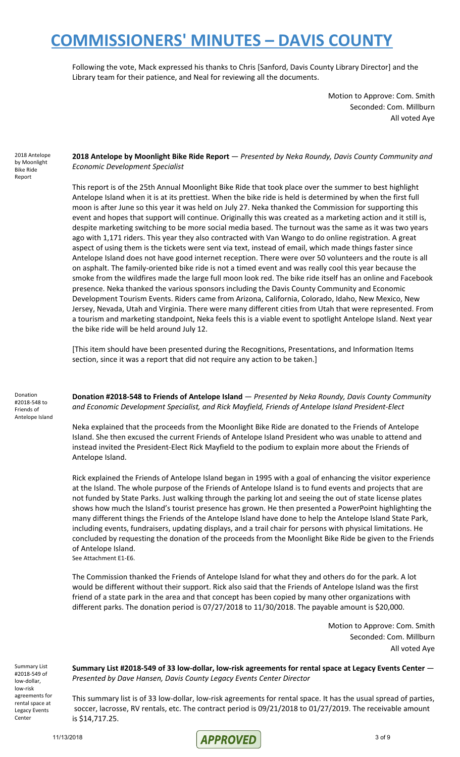Following the vote, Mack expressed his thanks to Chris [Sanford, Davis County Library Director] and the Library team for their patience, and Neal for reviewing all the documents.

> Motion to Approve: Com. Smith Seconded: Com. Millburn All voted Aye

2018 Antelope by Moonlight Bike Ride Report

**2018 Antelope by Moonlight Bike Ride Report** — *Presented by Neka Roundy, Davis County Community and Economic Development Specialist*

This report is of the 25th Annual Moonlight Bike Ride that took place over the summer to best highlight Antelope Island when it is at its prettiest. When the bike ride is held is determined by when the first full moon is after June so this year it was held on July 27. Neka thanked the Commission for supporting this event and hopes that support will continue. Originally this was created as a marketing action and it still is, despite marketing switching to be more social media based. The turnout was the same as it was two years ago with 1,171 riders. This year they also contracted with Van Wango to do online registration. A great aspect of using them is the tickets were sent via text, instead of email, which made things faster since Antelope Island does not have good internet reception. There were over 50 volunteers and the route is all on asphalt. The family-oriented bike ride is not a timed event and was really cool this year because the smoke from the wildfires made the large full moon look red. The bike ride itself has an online and Facebook presence. Neka thanked the various sponsors including the Davis County Community and Economic Development Tourism Events. Riders came from Arizona, California, Colorado, Idaho, New Mexico, New Jersey, Nevada, Utah and Virginia. There were many different cities from Utah that were represented. From a tourism and marketing standpoint, Neka feels this is a viable event to spotlight Antelope Island. Next year the bike ride will be held around July 12.

[This item should have been presented during the Recognitions, Presentations, and Information Items section, since it was a report that did not require any action to be taken.]

Donation #2018-548 to Friends of Antelope Island **Donation #2018-548 to Friends of Antelope Island** — *Presented by Neka Roundy, Davis County Community and Economic Development Specialist, and Rick Mayfield, Friends of Antelope Island President-Elect*

Neka explained that the proceeds from the Moonlight Bike Ride are donated to the Friends of Antelope Island. She then excused the current Friends of Antelope Island President who was unable to attend and instead invited the President-Elect Rick Mayfield to the podium to explain more about the Friends of Antelope Island.

Rick explained the Friends of Antelope Island began in 1995 with a goal of enhancing the visitor experience at the Island. The whole purpose of the Friends of Antelope Island is to fund events and projects that are not funded by State Parks. Just walking through the parking lot and seeing the out of state license plates shows how much the Island's tourist presence has grown. He then presented a PowerPoint highlighting the many different things the Friends of the Antelope Island have done to help the Antelope Island State Park, including events, fundraisers, updating displays, and a trail chair for persons with physical limitations. He concluded by requesting the donation of the proceeds from the Moonlight Bike Ride be given to the Friends of Antelope Island. See Attachment E1-E6.

The Commission thanked the Friends of Antelope Island for what they and others do for the park. A lot would be different without their support. Rick also said that the Friends of Antelope Island was the first friend of a state park in the area and that concept has been copied by many other organizations with different parks. The donation period is 07/27/2018 to 11/30/2018. The payable amount is \$20,000.

> Motion to Approve: Com. Smith Seconded: Com. Millburn All voted Aye

Summary List #2018-549 of low-dollar, low-risk agreements for rental space at Legacy Events Center

**Summary List #2018-549 of 33 low-dollar, low-risk agreements for rental space at Legacy Events Center** — *Presented by Dave Hansen, Davis County Legacy Events Center Director*

This summary list is of 33 low-dollar, low-risk agreements for rental space. It has the usual spread of parties, soccer, lacrosse, RV rentals, etc. The contract period is 09/21/2018 to 01/27/2019. The receivable amount is \$14,717.25.

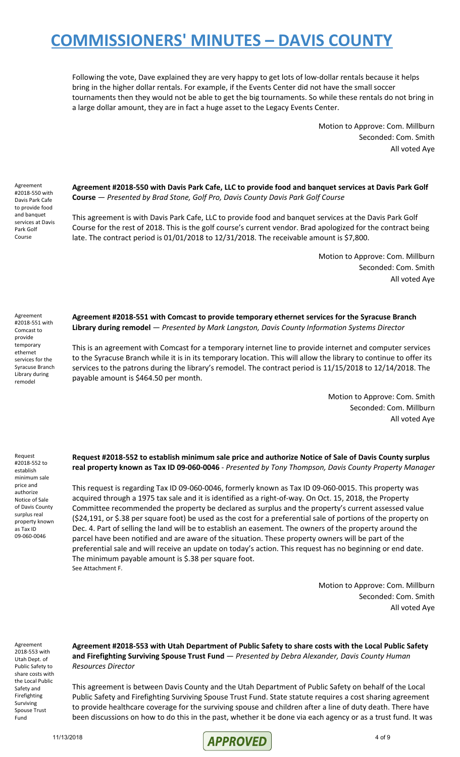Following the vote, Dave explained they are very happy to get lots of low-dollar rentals because it helps bring in the higher dollar rentals. For example, if the Events Center did not have the small soccer tournaments then they would not be able to get the big tournaments. So while these rentals do not bring in a large dollar amount, they are in fact a huge asset to the Legacy Events Center.

> Motion to Approve: Com. Millburn Seconded: Com. Smith All voted Aye

Agreement #2018-550 with Davis Park Cafe to provide food and banquet services at Davis Park Golf Course

**Agreement #2018-550 with Davis Park Cafe, LLC to provide food and banquet services at Davis Park Golf Course** — *Presented by Brad Stone, Golf Pro, Davis County Davis Park Golf Course*

This agreement is with Davis Park Cafe, LLC to provide food and banquet services at the Davis Park Golf Course for the rest of 2018. This is the golf course's current vendor. Brad apologized for the contract being late. The contract period is 01/01/2018 to 12/31/2018. The receivable amount is \$7,800.

> Motion to Approve: Com. Millburn Seconded: Com. Smith All voted Aye

Agreement #2018-551 with Comcast to provide temporary ethernet services for the Syracuse Branch Library during remodel

**Agreement #2018-551 with Comcast to provide temporary ethernet services for the Syracuse Branch Library during remodel** — *Presented by Mark Langston, Davis County Information Systems Director*

This is an agreement with Comcast for a temporary internet line to provide internet and computer services to the Syracuse Branch while it is in its temporary location. This will allow the library to continue to offer its services to the patrons during the library's remodel. The contract period is 11/15/2018 to 12/14/2018. The payable amount is \$464.50 per month.

> Motion to Approve: Com. Smith Seconded: Com. Millburn All voted Aye

Request #2018-552 to establish minimum sale price and authorize Notice of Sale of Davis County surplus real property known as Tax ID 09-060-0046

**Request #2018-552 to establish minimum sale price and authorize Notice of Sale of Davis County surplus real property known as Tax ID 09-060-0046** - *Presented by Tony Thompson, Davis County Property Manager*

This request is regarding Tax ID 09-060-0046, formerly known as Tax ID 09-060-0015. This property was acquired through a 1975 tax sale and it is identified as a right-of-way. On Oct. 15, 2018, the Property Committee recommended the property be declared as surplus and the property's current assessed value (\$24,191, or \$.38 per square foot) be used as the cost for a preferential sale of portions of the property on Dec. 4. Part of selling the land will be to establish an easement. The owners of the property around the parcel have been notified and are aware of the situation. These property owners will be part of the preferential sale and will receive an update on today's action. This request has no beginning or end date. The minimum payable amount is \$.38 per square foot. See Attachment F.

> Motion to Approve: Com. Millburn Seconded: Com. Smith All voted Aye

Agreement 2018-553 with Utah Dept. of Public Safety to share costs with the Local Public Safety and Firefighting Surviving Spouse Trust Fund

**Agreement #2018-553 with Utah Department of Public Safety to share costs with the Local Public Safety and Firefighting Surviving Spouse Trust Fund** — *Presented by Debra Alexander, Davis County Human Resources Director*

This agreement is between Davis County and the Utah Department of Public Safety on behalf of the Local Public Safety and Firefighting Surviving Spouse Trust Fund. State statute requires a cost sharing agreement to provide healthcare coverage for the surviving spouse and children after a line of duty death. There have been discussions on how to do this in the past, whether it be done via each agency or as a trust fund. It was

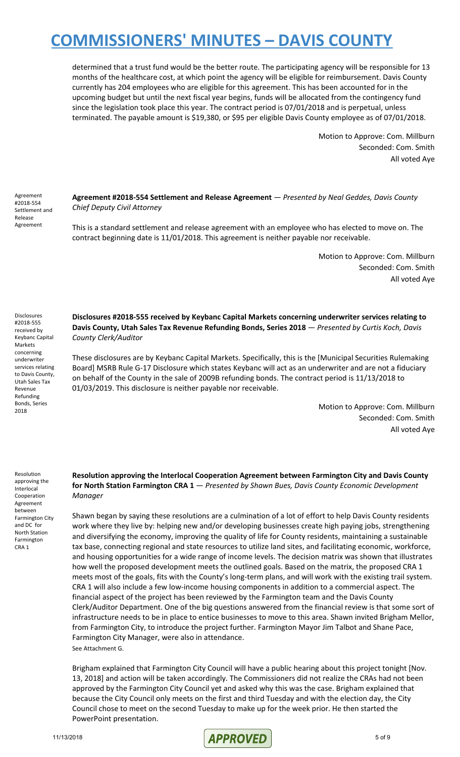determined that a trust fund would be the better route. The participating agency will be responsible for 13 months of the healthcare cost, at which point the agency will be eligible for reimbursement. Davis County currently has 204 employees who are eligible for this agreement. This has been accounted for in the upcoming budget but until the next fiscal year begins, funds will be allocated from the contingency fund since the legislation took place this year. The contract period is 07/01/2018 and is perpetual, unless terminated. The payable amount is \$19,380, or \$95 per eligible Davis County employee as of 07/01/2018.

> Motion to Approve: Com. Millburn Seconded: Com. Smith All voted Aye

Agreement #2018-554 Settlement and Release Agreement

Disclosures #2018-555 received by Keybanc Capital Markets concerning underwriter services relating to Davis County, Utah Sales Tax Revenue Refunding Bonds, Series 2018

**Agreement #2018-554 Settlement and Release Agreement** — *Presented by Neal Geddes, Davis County Chief Deputy Civil Attorney*

This is a standard settlement and release agreement with an employee who has elected to move on. The contract beginning date is 11/01/2018. This agreement is neither payable nor receivable.

> Motion to Approve: Com. Millburn Seconded: Com. Smith All voted Aye

**Disclosures #2018-555 received by Keybanc Capital Markets concerning underwriter services relating to Davis County, Utah Sales Tax Revenue Refunding Bonds, Series 2018** — *Presented by Curtis Koch, Davis County Clerk/Auditor*

These disclosures are by Keybanc Capital Markets. Specifically, this is the [Municipal Securities Rulemaking Board] MSRB Rule G-17 Disclosure which states Keybanc will act as an underwriter and are not a fiduciary on behalf of the County in the sale of 2009B refunding bonds. The contract period is 11/13/2018 to 01/03/2019. This disclosure is neither payable nor receivable.

> Motion to Approve: Com. Millburn Seconded: Com. Smith All voted Aye

Resolution approving the Interlocal Cooperation Agreement between Farmington City and DC for North Station Farmington CRA 1

**Resolution approving the Interlocal Cooperation Agreement between Farmington City and Davis County for North Station Farmington CRA 1** — *Presented by Shawn Bues, Davis County Economic Development Manager*

Shawn began by saying these resolutions are a culmination of a lot of effort to help Davis County residents work where they live by: helping new and/or developing businesses create high paying jobs, strengthening and diversifying the economy, improving the quality of life for County residents, maintaining a sustainable tax base, connecting regional and state resources to utilize land sites, and facilitating economic, workforce, and housing opportunities for a wide range of income levels. The decision matrix was shown that illustrates how well the proposed development meets the outlined goals. Based on the matrix, the proposed CRA 1 meets most of the goals, fits with the County's long-term plans, and will work with the existing trail system. CRA 1 will also include a few low-income housing components in addition to a commercial aspect. The financial aspect of the project has been reviewed by the Farmington team and the Davis County Clerk/Auditor Department. One of the big questions answered from the financial review is that some sort of infrastructure needs to be in place to entice businesses to move to this area. Shawn invited Brigham Mellor, from Farmington City, to introduce the project further. Farmington Mayor Jim Talbot and Shane Pace, Farmington City Manager, were also in attendance. See Attachment G.

Brigham explained that Farmington City Council will have a public hearing about this project tonight [Nov. 13, 2018] and action will be taken accordingly. The Commissioners did not realize the CRAs had not been approved by the Farmington City Council yet and asked why this was the case. Brigham explained that because the City Council only meets on the first and third Tuesday and with the election day, the City Council chose to meet on the second Tuesday to make up for the week prior. He then started the PowerPoint presentation.

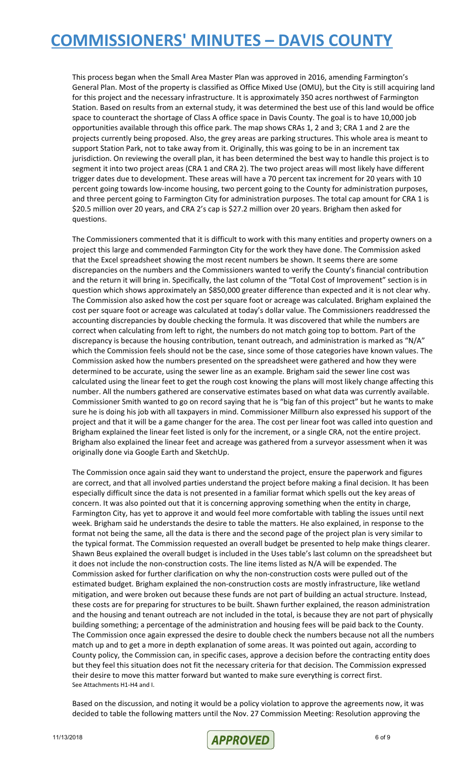This process began when the Small Area Master Plan was approved in 2016, amending Farmington's General Plan. Most of the property is classified as Office Mixed Use (OMU), but the City is still acquiring land for this project and the necessary infrastructure. It is approximately 350 acres northwest of Farmington Station. Based on results from an external study, it was determined the best use of this land would be office space to counteract the shortage of Class A office space in Davis County. The goal is to have 10,000 job opportunities available through this office park. The map shows CRAs 1, 2 and 3; CRA 1 and 2 are the projects currently being proposed. Also, the grey areas are parking structures. This whole area is meant to support Station Park, not to take away from it. Originally, this was going to be in an increment tax jurisdiction. On reviewing the overall plan, it has been determined the best way to handle this project is to segment it into two project areas (CRA 1 and CRA 2). The two project areas will most likely have different trigger dates due to development. These areas will have a 70 percent tax increment for 20 years with 10 percent going towards low-income housing, two percent going to the County for administration purposes, and three percent going to Farmington City for administration purposes. The total cap amount for CRA 1 is \$20.5 million over 20 years, and CRA 2's cap is \$27.2 million over 20 years. Brigham then asked for questions.

The Commissioners commented that it is difficult to work with this many entities and property owners on a project this large and commended Farmington City for the work they have done. The Commission asked that the Excel spreadsheet showing the most recent numbers be shown. It seems there are some discrepancies on the numbers and the Commissioners wanted to verify the County's financial contribution and the return it will bring in. Specifically, the last column of the "Total Cost of Improvement" section is in question which shows approximately an \$850,000 greater difference than expected and it is not clear why. The Commission also asked how the cost per square foot or acreage was calculated. Brigham explained the cost per square foot or acreage was calculated at today's dollar value. The Commissioners readdressed the accounting discrepancies by double checking the formula. It was discovered that while the numbers are correct when calculating from left to right, the numbers do not match going top to bottom. Part of the discrepancy is because the housing contribution, tenant outreach, and administration is marked as "N/A" which the Commission feels should not be the case, since some of those categories have known values. The Commission asked how the numbers presented on the spreadsheet were gathered and how they were determined to be accurate, using the sewer line as an example. Brigham said the sewer line cost was calculated using the linear feet to get the rough cost knowing the plans will most likely change affecting this number. All the numbers gathered are conservative estimates based on what data was currently available. Commissioner Smith wanted to go on record saying that he is "big fan of this project" but he wants to make sure he is doing his job with all taxpayers in mind. Commissioner Millburn also expressed his support of the project and that it will be a game changer for the area. The cost per linear foot was called into question and Brigham explained the linear feet listed is only for the increment, or a single CRA, not the entire project. Brigham also explained the linear feet and acreage was gathered from a surveyor assessment when it was originally done via Google Earth and SketchUp.

The Commission once again said they want to understand the project, ensure the paperwork and figures are correct, and that all involved parties understand the project before making a final decision. It has been especially difficult since the data is not presented in a familiar format which spells out the key areas of concern. It was also pointed out that it is concerning approving something when the entity in charge, Farmington City, has yet to approve it and would feel more comfortable with tabling the issues until next week. Brigham said he understands the desire to table the matters. He also explained, in response to the format not being the same, all the data is there and the second page of the project plan is very similar to the typical format. The Commission requested an overall budget be presented to help make things clearer. Shawn Beus explained the overall budget is included in the Uses table's last column on the spreadsheet but it does not include the non-construction costs. The line items listed as N/A will be expended. The Commission asked for further clarification on why the non-construction costs were pulled out of the estimated budget. Brigham explained the non-construction costs are mostly infrastructure, like wetland mitigation, and were broken out because these funds are not part of building an actual structure. Instead, these costs are for preparing for structures to be built. Shawn further explained, the reason administration and the housing and tenant outreach are not included in the total, is because they are not part of physically building something; a percentage of the administration and housing fees will be paid back to the County. The Commission once again expressed the desire to double check the numbers because not all the numbers match up and to get a more in depth explanation of some areas. It was pointed out again, according to County policy, the Commission can, in specific cases, approve a decision before the contracting entity does but they feel this situation does not fit the necessary criteria for that decision. The Commission expressed their desire to move this matter forward but wanted to make sure everything is correct first. See Attachments H1-H4 and I.

Based on the discussion, and noting it would be a policy violation to approve the agreements now, it was decided to table the following matters until the Nov. 27 Commission Meeting: Resolution approving the

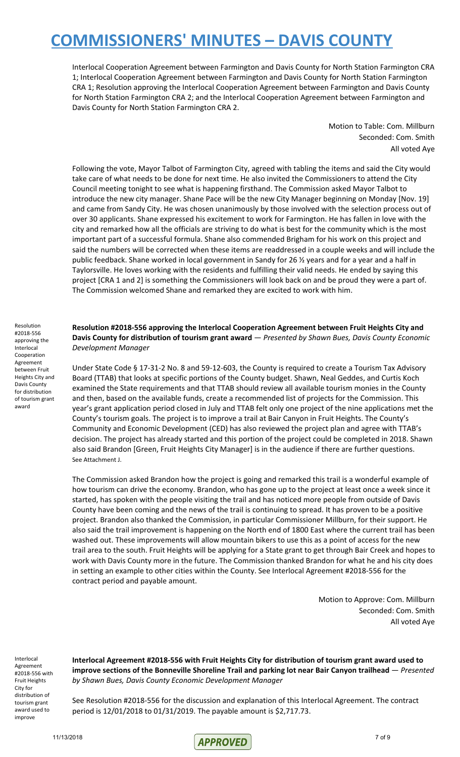Interlocal Cooperation Agreement between Farmington and Davis County for North Station Farmington CRA 1; Interlocal Cooperation Agreement between Farmington and Davis County for North Station Farmington CRA 1; Resolution approving the Interlocal Cooperation Agreement between Farmington and Davis County for North Station Farmington CRA 2; and the Interlocal Cooperation Agreement between Farmington and Davis County for North Station Farmington CRA 2.

> Motion to Table: Com. Millburn Seconded: Com. Smith All voted Aye

Following the vote, Mayor Talbot of Farmington City, agreed with tabling the items and said the City would take care of what needs to be done for next time. He also invited the Commissioners to attend the City Council meeting tonight to see what is happening firsthand. The Commission asked Mayor Talbot to introduce the new city manager. Shane Pace will be the new City Manager beginning on Monday [Nov. 19] and came from Sandy City. He was chosen unanimously by those involved with the selection process out of over 30 applicants. Shane expressed his excitement to work for Farmington. He has fallen in love with the city and remarked how all the officials are striving to do what is best for the community which is the most important part of a successful formula. Shane also commended Brigham for his work on this project and said the numbers will be corrected when these items are readdressed in a couple weeks and will include the public feedback. Shane worked in local government in Sandy for 26 ½ years and for a year and a half in Taylorsville. He loves working with the residents and fulfilling their valid needs. He ended by saying this project [CRA 1 and 2] is something the Commissioners will look back on and be proud they were a part of. The Commission welcomed Shane and remarked they are excited to work with him.

**Resolution #2018-556 approving the Interlocal Cooperation Agreement between Fruit Heights City and Davis County for distribution of tourism grant award** — *Presented by Shawn Bues, Davis County Economic Development Manager*

Under State Code § 17-31-2 No. 8 and 59-12-603, the County is required to create a Tourism Tax Advisory Board (TTAB) that looks at specific portions of the County budget. Shawn, Neal Geddes, and Curtis Koch examined the State requirements and that TTAB should review all available tourism monies in the County and then, based on the available funds, create a recommended list of projects for the Commission. This year's grant application period closed in July and TTAB felt only one project of the nine applications met the County's tourism goals. The project is to improve a trail at Bair Canyon in Fruit Heights. The County's Community and Economic Development (CED) has also reviewed the project plan and agree with TTAB's decision. The project has already started and this portion of the project could be completed in 2018. Shawn also said Brandon [Green, Fruit Heights City Manager] is in the audience if there are further questions. See Attachment J.

The Commission asked Brandon how the project is going and remarked this trail is a wonderful example of how tourism can drive the economy. Brandon, who has gone up to the project at least once a week since it started, has spoken with the people visiting the trail and has noticed more people from outside of Davis County have been coming and the news of the trail is continuing to spread. It has proven to be a positive project. Brandon also thanked the Commission, in particular Commissioner Millburn, for their support. He also said the trail improvement is happening on the North end of 1800 East where the current trail has been washed out. These improvements will allow mountain bikers to use this as a point of access for the new trail area to the south. Fruit Heights will be applying for a State grant to get through Bair Creek and hopes to work with Davis County more in the future. The Commission thanked Brandon for what he and his city does in setting an example to other cities within the County. See Interlocal Agreement #2018-556 for the contract period and payable amount.

> Motion to Approve: Com. Millburn Seconded: Com. Smith All voted Aye

Interlocal Agreement #2018-556 with Fruit Heights City for distribution of tourism grant award used to improve

**Interlocal Agreement #2018-556 with Fruit Heights City for distribution of tourism grant award used to improve sections of the Bonneville Shoreline Trail and parking lot near Bair Canyon trailhead** — *Presented by Shawn Bues, Davis County Economic Development Manager*

See Resolution #2018-556 for the discussion and explanation of this Interlocal Agreement. The contract period is 12/01/2018 to 01/31/2019. The payable amount is \$2,717.73.

#2018-556 approving the Interlocal Cooperation Agreement between Fruit Heights City and Davis County for distribution of tourism grant award

Resolution

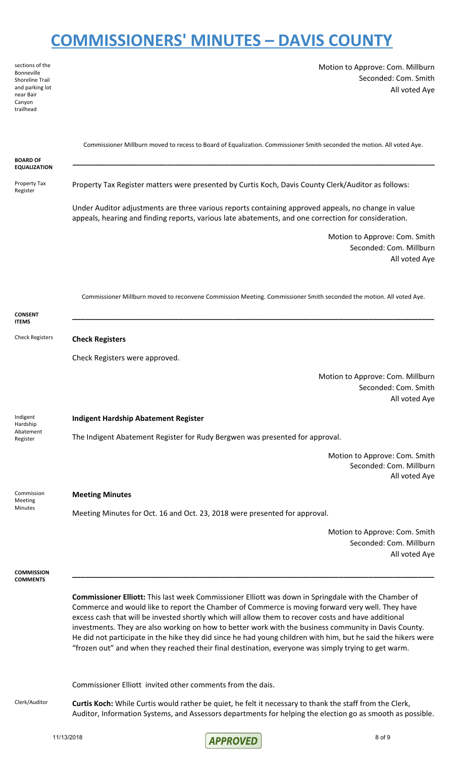| sections of the<br>Bonneville<br><b>Shoreline Trail</b><br>and parking lot<br>near Bair<br>Canyon<br>trailhead | Motion to Approve: Com. Millburn<br>Seconded: Com. Smith<br>All voted Aye                                                                                                                                                                                                                                                                                                                                                                                                                                                                                                                                                                                |
|----------------------------------------------------------------------------------------------------------------|----------------------------------------------------------------------------------------------------------------------------------------------------------------------------------------------------------------------------------------------------------------------------------------------------------------------------------------------------------------------------------------------------------------------------------------------------------------------------------------------------------------------------------------------------------------------------------------------------------------------------------------------------------|
| <b>BOARD OF</b><br><b>EQUALIZATION</b>                                                                         | Commissioner Millburn moved to recess to Board of Equalization. Commissioner Smith seconded the motion. All voted Aye.                                                                                                                                                                                                                                                                                                                                                                                                                                                                                                                                   |
| Property Tax<br>Register                                                                                       | Property Tax Register matters were presented by Curtis Koch, Davis County Clerk/Auditor as follows:                                                                                                                                                                                                                                                                                                                                                                                                                                                                                                                                                      |
|                                                                                                                | Under Auditor adjustments are three various reports containing approved appeals, no change in value<br>appeals, hearing and finding reports, various late abatements, and one correction for consideration.                                                                                                                                                                                                                                                                                                                                                                                                                                              |
|                                                                                                                | Motion to Approve: Com. Smith<br>Seconded: Com. Millburn<br>All voted Aye                                                                                                                                                                                                                                                                                                                                                                                                                                                                                                                                                                                |
| <b>CONSENT</b>                                                                                                 | Commissioner Millburn moved to reconvene Commission Meeting. Commissioner Smith seconded the motion. All voted Aye.                                                                                                                                                                                                                                                                                                                                                                                                                                                                                                                                      |
| <b>ITEMS</b><br><b>Check Registers</b>                                                                         | <b>Check Registers</b>                                                                                                                                                                                                                                                                                                                                                                                                                                                                                                                                                                                                                                   |
|                                                                                                                | Check Registers were approved.                                                                                                                                                                                                                                                                                                                                                                                                                                                                                                                                                                                                                           |
|                                                                                                                | Motion to Approve: Com. Millburn<br>Seconded: Com. Smith<br>All voted Aye                                                                                                                                                                                                                                                                                                                                                                                                                                                                                                                                                                                |
| Indigent<br>Hardship                                                                                           | <b>Indigent Hardship Abatement Register</b>                                                                                                                                                                                                                                                                                                                                                                                                                                                                                                                                                                                                              |
| Abatement<br>Register                                                                                          | The Indigent Abatement Register for Rudy Bergwen was presented for approval.                                                                                                                                                                                                                                                                                                                                                                                                                                                                                                                                                                             |
|                                                                                                                | Motion to Approve: Com. Smith<br>Seconded: Com. Millburn<br>All voted Aye                                                                                                                                                                                                                                                                                                                                                                                                                                                                                                                                                                                |
| Commission<br>Meeting                                                                                          | <b>Meeting Minutes</b>                                                                                                                                                                                                                                                                                                                                                                                                                                                                                                                                                                                                                                   |
| Minutes                                                                                                        | Meeting Minutes for Oct. 16 and Oct. 23, 2018 were presented for approval.                                                                                                                                                                                                                                                                                                                                                                                                                                                                                                                                                                               |
|                                                                                                                | Motion to Approve: Com. Smith<br>Seconded: Com. Millburn<br>All voted Aye                                                                                                                                                                                                                                                                                                                                                                                                                                                                                                                                                                                |
| <b>COMMISSION</b><br><b>COMMENTS</b>                                                                           |                                                                                                                                                                                                                                                                                                                                                                                                                                                                                                                                                                                                                                                          |
|                                                                                                                | <b>Commissioner Elliott:</b> This last week Commissioner Elliott was down in Springdale with the Chamber of<br>Commerce and would like to report the Chamber of Commerce is moving forward very well. They have<br>excess cash that will be invested shortly which will allow them to recover costs and have additional<br>investments. They are also working on how to better work with the business community in Davis County.<br>He did not participate in the hike they did since he had young children with him, but he said the hikers were<br>"frozen out" and when they reached their final destination, everyone was simply trying to get warm. |
|                                                                                                                | Commissioner Elliott invited other comments from the dais.                                                                                                                                                                                                                                                                                                                                                                                                                                                                                                                                                                                               |
| Clerk/Auditor                                                                                                  | Curtis Koch: While Curtis would rather be quiet, he felt it necessary to thank the staff from the Clerk,<br>Auditor, Information Systems, and Assessors departments for helping the election go as smooth as possible.                                                                                                                                                                                                                                                                                                                                                                                                                                   |